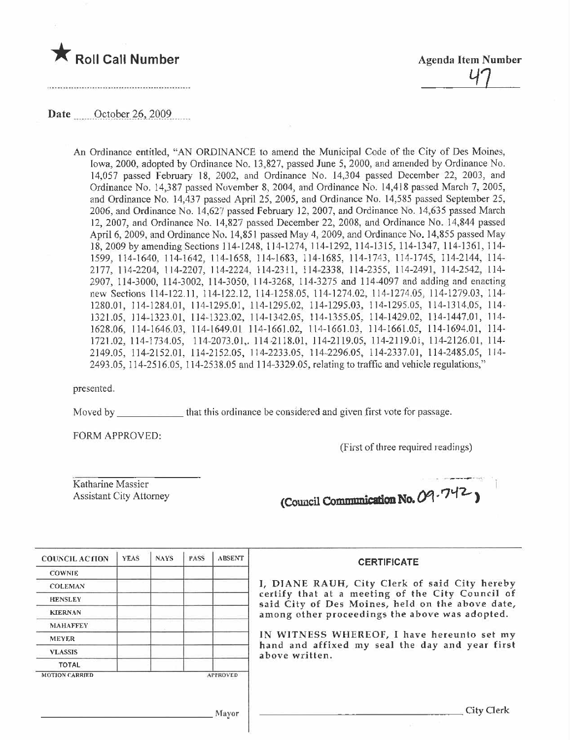

## Date ..\_.u\_.Qç-tQRa2.Q~\_.~-tQ2..\_\_.\_\_

An Ordinance entitled, "AN ORDINANCE to amend the Municipal Code of the City of Des Moines, Iowa, 2000, adopted by Ordinance No. 13,827, passed June 5, 2000, and amended by Ordinance No. 14,057 passed February 18, 2002, and Ordinance No. 14,304 passed December 22, 2003, and Ordinance No. 14,387 passed November 8, 2004, and Ordinance No. 14,418 passed March 7, 2005, and Ordinance No. 14,437 passed April 25, 2005, and Ordinance No. 14,585 passed September 25, 2006, and Ordinance No.  $14,627$  passed February 12, 2007, and Ordinance No. 14,635 passed March 12,2007, and Ordinance No. 14,827 passed December 22, 2008, and Ordinance No. 14,844 passed April 6, 2009, and Ordinance No. 14,851 passed May 4, 2009, and Ordinance No. 14,855 passed May 18,2009 by amending Sections 114-1248, 114-1274, 114-1292, 114-1315, 114-1347, 114-1361, 114- 1599,114-1640,114-1642,114-1658,114-1683, 114-1685, 114-1743, 114-1745, 114-2144, 114- 2177, 114-2204, 114-2207, 114-2224, 114-231 I, 114-2338, 114-2355, 114-2491, 114-2542, 114- 2907, i 14-3000, 114-3002, 114-3050, 114-3268, 114-3275 and 114-4097 and adding and enacting new Sections 114-122.11, 114-122.12, 114-1258.05, 114-1274.02, 114-1274.05, 114-1279.03, 114-1280.01, 114-1284.0 I, 114-1295.01, 114-1295.02, 114-1295.03, 114-1295.05, 114-1314.05, 114- 1321.05, 114-1323.01, 114-1323.02, 114-1342.05, 114-1355.05, 114-1429.02, 114-1447.01, 114-1628.06,114-1646.03,114-1649.01 114-1661.02,114-1661.03, 114-1661.05, 114-1694.01, 114- 1721.02,114-1734.05, 114-2073.01,.114-2118.01,114-2119.05, 114-2119.01, 114-2126.01, 114- 2149.05, 114-2152.01, 114-2152.05, 114-2233.05, 114-2296.05, 114-2337.01, 114-2485.05, 114- 2493.05, 114-2516.05, 114-2538.05 and 114-3329.05, relating to traffc and vehicle regulations,"

presented.

Moved by that this ordinance be considered and given first vote for passage.

FORM APPROVED,

(First of three required readings)

Katharine Massier Assistant City Attorney (Council Communication No. 09.742)

| <b>COUNCIL ACTION</b>                    | <b>YEAS</b> | <b>NAYS</b> | <b>PASS</b>                                                       | <b>ABSENT</b> | <b>CERTIFICATE</b>                                                                                   |  |  |
|------------------------------------------|-------------|-------------|-------------------------------------------------------------------|---------------|------------------------------------------------------------------------------------------------------|--|--|
| <b>COWNIE</b>                            |             |             |                                                                   |               |                                                                                                      |  |  |
| <b>COLEMAN</b>                           |             |             |                                                                   |               | I, DIANE RAUH, City Clerk of said City hereby                                                        |  |  |
| <b>HENSLEY</b>                           |             |             |                                                                   |               | certify that at a meeting of the City Council of<br>said City of Des Moines, held on the above date, |  |  |
| <b>KIERNAN</b>                           |             |             |                                                                   |               | among other proceedings the above was adopted.<br>IN WITNESS WHEREOF, I have hereunto set my         |  |  |
| <b>MAHAFFEY</b><br><b>MEYER</b>          |             |             |                                                                   |               |                                                                                                      |  |  |
|                                          |             |             |                                                                   |               |                                                                                                      |  |  |
| <b>VLASSIS</b>                           |             |             | hand and affixed my seal the day and year first<br>above written. |               |                                                                                                      |  |  |
| <b>TOTAL</b>                             |             |             |                                                                   |               |                                                                                                      |  |  |
| <b>APPROVED</b><br><b>MOTION CARRIED</b> |             |             |                                                                   |               |                                                                                                      |  |  |
|                                          |             |             |                                                                   |               |                                                                                                      |  |  |
|                                          |             |             |                                                                   |               |                                                                                                      |  |  |
| <b>Mayor</b>                             |             |             |                                                                   |               | City Clerk                                                                                           |  |  |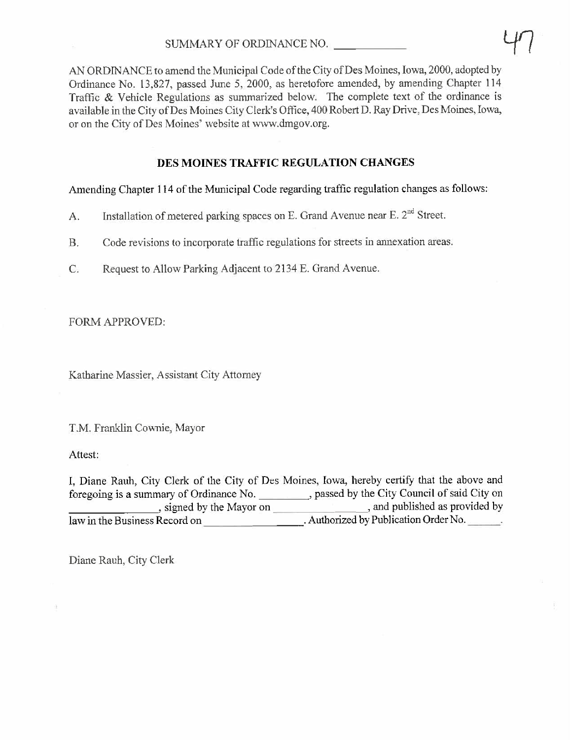AN ORDINANCE to amend the Municipal Code of the City of Des Moines, Iowa, 2000, adopted by Ordinance No. 13,827, passed June 5, 2000, as heretofore amended, by amending Chapter i 14 Traffic & Vehicle Regulations as summarized below. The complete text of the ordinance is available in the City of Des Moines City Clerk's Office, 400 Robert D. Ray Drive, Des Moines, Iowa, or on the City of Des Moines' website at ww.dmgov.org.

# DES MOINES TRAFFIC REGULATION CHANGES

Amending Chapter 114 of the Municipal Code regarding traffic regulation changes as follows:

- A. Installation of metered parking spaces on E. Grand Avenue near E. 2<sup>nd</sup> Street.
- B. Code revisions to incorporate traffic regulations for streets in annexation areas.
- C. Request to Allow Parking Adjacent to 2134 E. Grand Avenue.

FORM APPROVED:

Katharine Massier, Assistant City Attorney

T.M. Franklin Cownie, Mayor

Attest:

I, Diane Rauh, City Clerk of the City of Des Moines, Iowa, hereby certify that the above and foregoing is a summary of Ordinance No. , passed by the City Council of said City on , signed by the Mayor on  $\overline{\hspace{1cm}}$ , and published as provided by law in the Business Record on **No.** Authorized by Publication Order No.

Diane Rauh, City Clerk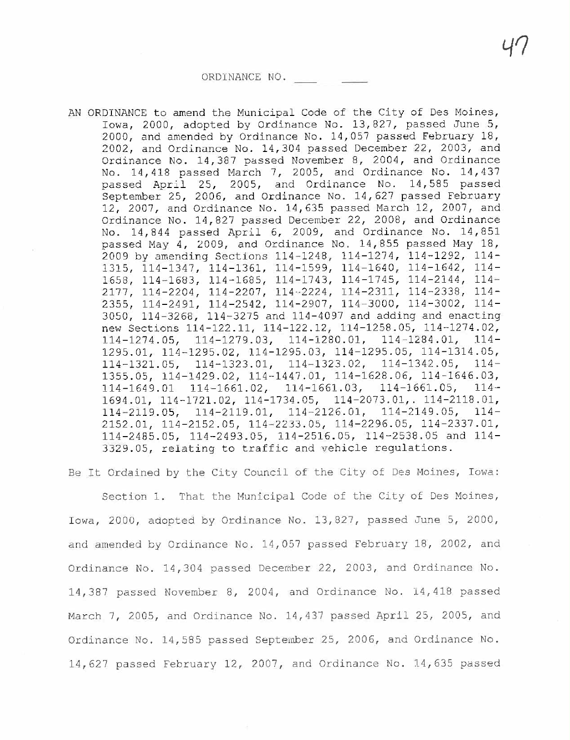AN ORDINANCE to amend the Municipal Code of the City of Des Moines, Iowa, 2000, adopted by Ordinance No. 13,827, passed June 5, 2000, and amended by Ordinance No. 14,057 passed February 18, 2002, and Ordinance No. 14,304 passed December 22, 2003, and Ordinance No. 14,387 passed November 8, 2004, and Ordinance No. 14,418 passed March 7, 2005, and Ordinance No. 14,437 passed April 25, 2005, and Ordinance No. 14,585 passed September 25, 2006, and Ordinance No. 14,627 passed February 12, 2007, and Ordinance No. 14,635 passed March 12, 2007, and Ordinance No. 14,827 passed December 22, 2008, and Ordinance No. 14,844 passed April 6, 2009, and Ordinance No. 14,851 passed May 4, 2009, and Ordinance No. 14,855 passed May 18, 2009 by amending Sections 114-1248, 114-1274, 114-1292, 114- 1315, 114-1347, 114-1361, 114-1599, 114-1640, 114-1642, 114- 1658, 114-1683, 114-1685, 114-1743, 114-1745, 114-2144, 114- 2177, 114-2204, 114-2207, 114-2224, 114-2311, 114-2338, 114- 2355, 114-2491, 114-2542, 114-2907, 114-3000, 114-3002, 114- 3050, 114-3268, 114-3275 and 114-4097 and adding and enacting new Sections 114-122.11, 114-122.12, 114-1258.05, 114-1274.02, 114-1274.05, 114-1279.03, 114-1280.01, 114-1284.01, 114- 1295.01, 114-1295.02, 114-1295.03, 114-1295.05, 114-1314.05, 114-1321.05, 114-1323.01, 114-1323.02, 114-1342.05, 114- 1355.05, 114-1429.02, 114-1447.01, 114-1628.06, 114-1646.03, 114-1649.01 114-1661.02, 114-1661.03, 114-1661.05, 114- 1694.01, 114-1721.02, 114-1734.05, 114-2073.01,. 114-2118.01, 114-2119.05, 114-2119.01, 114-2126.01, 114-2149.05, 114- 2152.01, 114-2152.05, 114-2233.05, 114-2296.05, 114-2337.01, 114-2485.05, 114-2493.05, 114-2516.05, 114-2538.05 and 114- 3329.05, relating to traffic and vehicle regulations.

Be It Ordained by the City Council of the City of Des Moines, Iowa:

Section 1. That the Municipal Code of the City of Des Moines, Iowa, 2000, adopted by Ordinance No. 13,827, passed June 5, 2000, and amended by Ordinance No. 14,057 passed February 18, 2002, and Ordinance No. 14,304 passed December 22, 2003, and Ordinance No. 14,387 passed November 8, 2004, and Ordinance No. 14,418 passed March 7, 2005, and Ordinance No. 14,437 passed April 25, 2005, and Ordinance No. 14,585 passed September 25, 2006, and Ordinance No. 14,627 passed February 12, 2007, and Ordinance No. 14,635 passed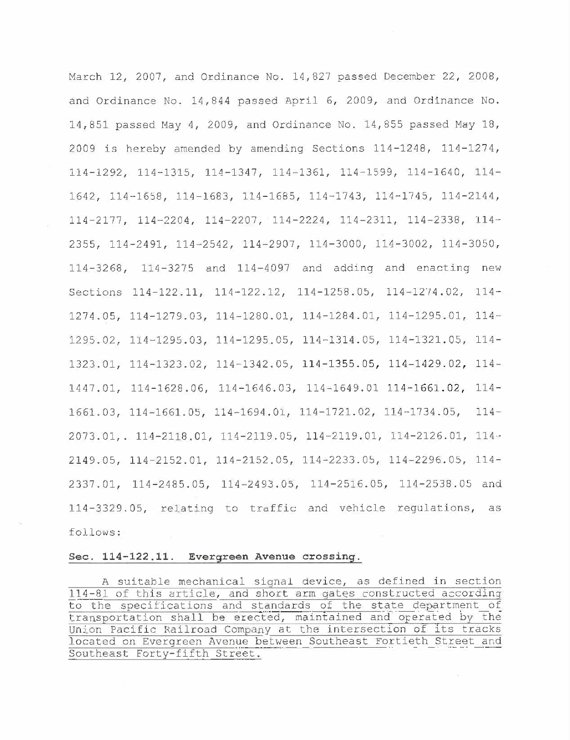March 12, 2007, and Ordinance No. 14,827 passed December 22, 2008, and Ordinance No. 14,844 passed April 6, 2009, and Ordinance No. 14,851 passed May 4, 2009, and Ordinance No. 14,855 passed May 18, 2009 is hereby amended by amending Sections 114-1248, 114-1274, 114-1292, 114-1315, 114-1347, 114-1361, 114-1599, 114-1640, 114- 1642, 114-1658, 114-1683, 114-1685, 114-1743, 114-1745, 114-2144, 114-2177, 114-2204, 114-2207, 114-2224, 114-2311, 114-2338, 114- 2355, 114-2491, 114-2542, 114-2907, 114-3000, 114-3002, 114-3050, 114-3268, 114-3275 and 114-4097 and adding and enacting new Sections 114-122.11, 114-122.12, 114-1258. OS, 114-1274.02, 114- 1274.05, 114-1279.03, 114-1280.01, 114-1284.01, 114-1295.01, 114- 1295.02, 114-1295.03, 114-1295.05, 114-1314. OS, 114-1321. OS, 114- 1323.01, 114-1323.02, 114-1342. OS, 114-1355.05, 114-1429.02, 114- 1447.01, 114-1628.06, 114-1646.03, 114-1649.01 114-1661.02, 114- 1661. 03, 114-1661. OS, 114-1694.01, 114-1721. 02, 114-1734. OS, 114- 2073.01, . 114-2118.01, 114-2119. OS, 114-2119.01, 114-2126.01, 114- 2149.05, 114-2152.01, 114-2152. OS, 114-2233. OS, 114-2296.05, 114- 2337.01, 114-2485. OS, 114-2493. OS, 114-2516. OS, 114-2538.05 and 114-3329. OS, relating to traffic and vehicle regulations, as follows:

## Sec. 114-122.11. Evergreen Avenue crossing.

A suitable mechanical signal device, as defined in section 114-81 of this article, and short arm gates constructed according to the specifications and standards of the state department of transportation shall be erected, maintained and operated by the Union Pacific Railroad Company at the intersection of its tracks located on Evergreen Avenue between Southeast Fortieth Street and Southeast Forty-fifth Street.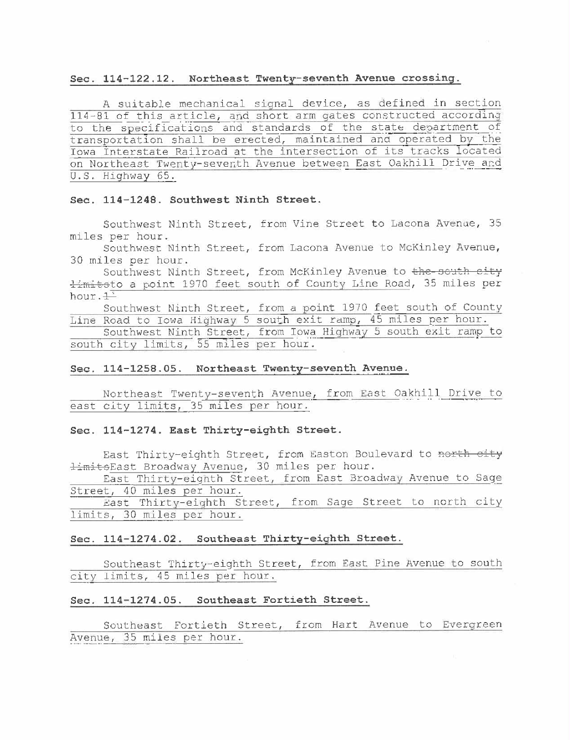## Sec. 114-122.12. Northeast Twenty-seventh Avenue crossing.

A suitable mechanical signal device, as defined in section 114-81 of this article, and short arm gates constructed according to the specifications and standards of the state department of transportation shall be erected, maintained and operated by the Iowa Interstate Railroad at the intersection of its tracks located on Northeast Twenty-seventh Avenue between East Oakhill Drive and U.S. Highway 65.

#### Sec. 114-1248. Southwest Ninth Street.

Southwest Ninth Street, from Vine Street to Lacona Avenue, 35 miles per hour.

Southwest Ninth Street, from Lacona Avenue to McKinley Avenue, 30 miles per hour.

Southwest Ninth Street, from McKinley Avenue to the south eity  $\frac{1}{2}$ mitsto a point 1970 feet south of County Line Road, 35 miles per hour.  $\frac{1}{1}$ 

Southwest Ninth Street, from a point 1970 feet south of County Line Road to Iowa Highway 5 south exit ramp, 45 miles per

Southwest Ninth Street, from Iowa Highway 5 south exit ramp to south city limits, 55 miles per hour.

# Sec. 114-1258.05. Northeast Twenty-seventh Avenue.

Northeast Twenty-seventh Avenue, from East Oakhill Drive to east city limits, 35 miles per hour.

## Sec. 114-1274. East Thirty-eighth Street.

East Thirty-eighth Street, from Easton Boulevard to north city limitsEast Broadway Avenue, 30 miles per hour.

East Thirty-eighth Street, from East Broadway Avenue to Sage Street, 40 miles per hour,

East Thirty-eighth Street, from Sage Street to north city limits, 30 miles per hour.

# Sec. 114-1274.02. Southeast Thirty-eighth Street.

Southeast Thirty-eighth Street, from East Pine Avenue to south city limits, 45 miles per hour.

## Sec. 114-1274.05. Southeast Fortieth Street.

Southeast Fortieth Street, from Hart Avenue to Evergreen Avenue, 35 miles per hour.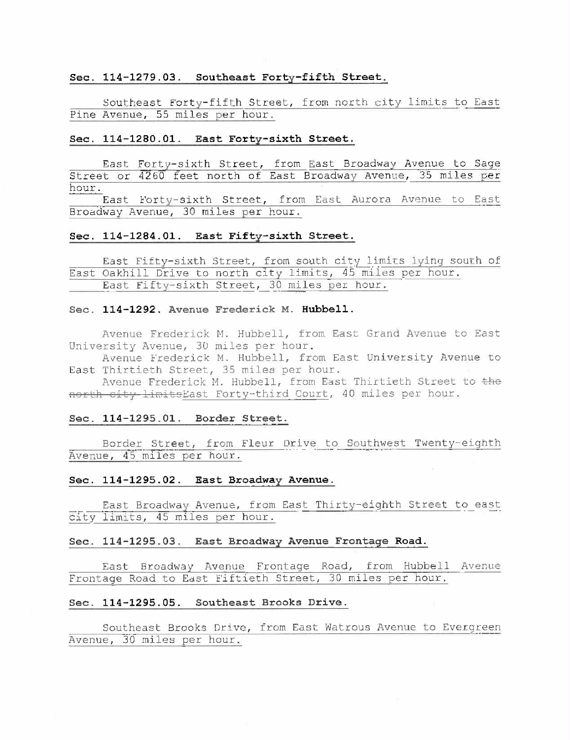#### Sec. 114-1279.03. Southeast Forty-fifth Street.

Southeast Forty-fifth Street, from north city limits to East Pine Avenue, 55 miles per hour.

## Sec. 114-1280.01. East Forty-sixth Street.

East Forty-sixth Street, from East Broadway Avenue to Sage Street or 4260 feet north of East Broadway Avenue, 35 miles per hour.

East Forty-sixth Street, from East Aurora Avenue to East Broadway Avenue, 30 miles per hour.

## Sec. 114-1284.01. East Fifty-sixth Street.

East Fifty-sixth Street, from south city limits lying south of East Oakhill Drive to north city limits, 45 miles per hour. East Fifty-sixth Street, 30 miles per hour.

## Sec. 114-1292. Avenue Frederick M. Hubbell.

Avenue Frederick M. Hubbell, from East Grand Avenue to East University Avenue, 30 miles per hour.

Avenue Frederick M. Hubbell, from East University Avenue to East Thirtieth Street, 35 miles per hour.

Avenue Frederick M. Hubbell, from East Thirtieth Street to the north city limits East Forty-third Court, 40 miles per hour.

## Sec. 114-1295.01. Border Street.

Border Street, from Fleur Drive to Southwest Twenty-eighth Avenue, 45 miles per hour.

## Sec. 114-1295.02. East Broadway Avenue.

East Broadway Avenue, from East Thirty-eighth Street to east city limits, 45 miles per hour.

## Sec. 114-1295.03. East Broadway Avenue Frontage Road.

East Broadway Avenue Frontage Road, from Hubbell Avenue Frontage Road to East Fiftieth Street, 30 miles per hour.

## Sec. 114-1295.05. Southeast Brooks Drive.

Southeast Brooks Drive, from East Watrous Avenue to Evergreen Avenue, 30 miles per hour.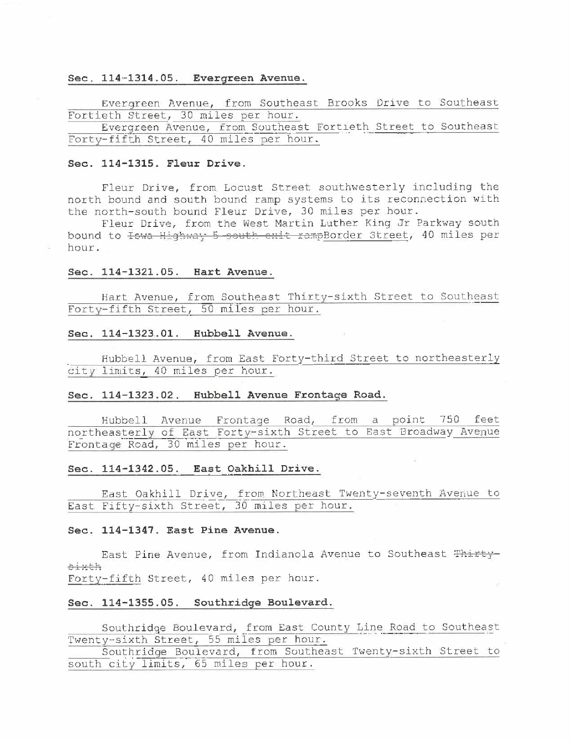# Sec. 114-1314. 05. Evergreen Avenue.

Evergreen Avenue, from Southeast Brooks Drive to Southeast Fortieth Street, 30 miles per hour.

Evergreen Avenue, from Southeast Fortieth Street to Southeast Forty-fifth Street, 40 miles per hour.

## Sec. 114-1315. Fleur Drive.

Fleur Drive, from Locust Street southwesterly including the north bound and south bound ramp systems to its reconnect ion with the north-south bound Fleur Drive, 30 miles per hour.

Fleur Drive, from the West Martin Luther King Jr Parkway south bound to 10: Highway 5 south enit rampBorder Street, 40 miles per hour.

#### Sec. 114-1321.05. Hart Avenue.

Hart Avenue, from Southeast Thirty-sixth Street to Southeast Forty-fifth Street, 50 miles per hour.

## Sec. 114-1323.01. Hubbell Avenue,

Hubbell Avenue, from East Forty-third Street to northeasterly city limits, 40 miles per hour.

#### Sec. 114-1323,02. Hubbell Avenue Frontage Road.

Hubbell Avenue Frontage Road, from a point 750 feet<br>northeasterly of East Forty-sixth Street to East Broadway Avenue Frontage Road, 30 miles per hour. Hubbell Avenue Frontage Road, from a point 750 feet

#### Sec. 114-1342. 05. East Oakhill Drive.

East Oakhiii Drive, from Northeast Twenty-seventh Avenue to East Fifty-sixth Street, 30 miles per hour.

#### Sec. 114-1347. East Pine Avenue.

East Pine Avenue, from Indianola Avenue to Southeast Thirty :: x + h Forty-fifth Street, 40 miles per hour.

# Sec. 114-1355.05. Southridge Boulevard.

Southridge Boulevard, from East County Line Road to Southeast Twenty-sixth Street, 55 miles per hour.

Southridge Boulevard, from Southeast Twenty-sixth Street to south city limits, 65 miles per hour.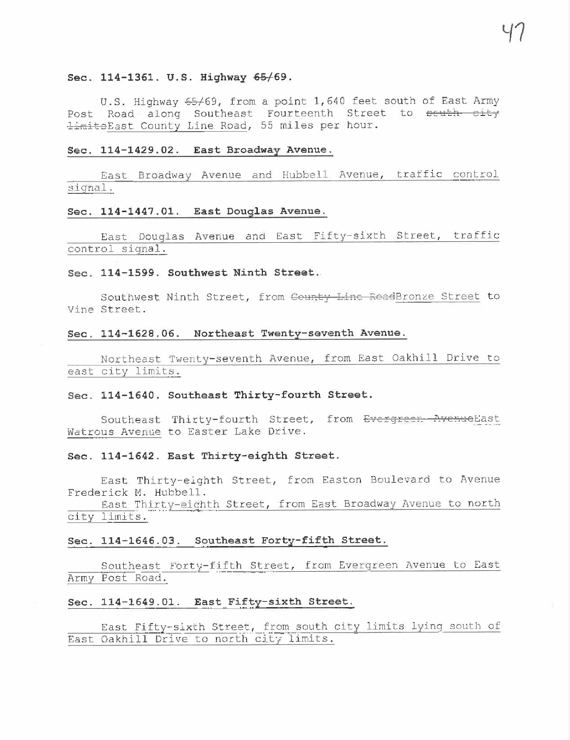#### Sec. 114-1361. U.S. Highway 65/69.

U.S. Highway 65/69, from a point 1,640 feet south of East Army Post Road along Southeast Fourteenth Street to <del>scuth city</del> <del>limito</del>East County Line Road, 55 miles per hour.

#### Sec. 114-1429.02. East Broadway Avenue.

East Broadway Avenue and Hubbell Avenue, traffic control signal.

## Sec. 114-1447.01. East Douglas Avenue.

East Douglas Avenue and East Fifty-sixth Street, traffic control signal.

## Sec. 114-1599. Southwest Ninth Street.

Southwest Ninth Street, from County Line ReadBronze Street to Vine Street.

#### Sec. 114-1628.06. Northeast Twenty-seventh Avenue.

Northeast Twenty-seventh Avenue, from East Oakhill Drive to east city limits.

#### Sec. 114-1640. Southeast Thirty-fourth Street.

Southeast Thirty-fourth Street, from E<del>vergreer Avenue</del>East Watrous Avenue to Easter Lake Drive.

## See. 114-1642. East Thirty-eighth Street.

East Thirty-eighth Street, from Easton Boulevard to Avenue Frederick M. Hubbell.

East Thirty-eighth Street, from East Broadway Avenue to north city limits.

#### Sec. 114-1646.03. Southeast Forty-fifth Street.

Southeast Forty-fifth Street, from Evergreen Avenue to East Army Post Road.

## Sec. 114-1649,01. East Fifty-sixth Street.

East Fifty-sixth Street, from south city limits lying south of East Oakhill Drive to north city limits.